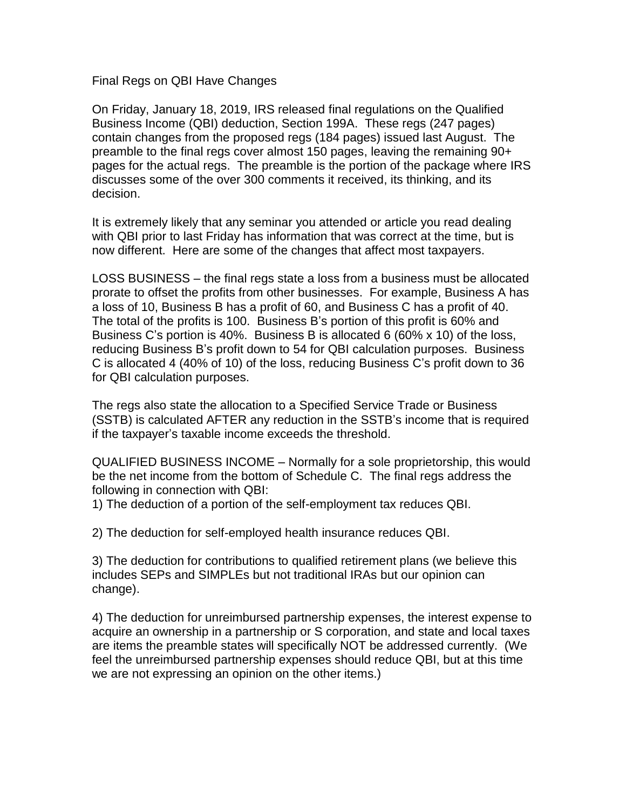## Final Regs on QBI Have Changes

On Friday, January 18, 2019, IRS released final regulations on the Qualified Business Income (QBI) deduction, Section 199A. These regs (247 pages) contain changes from the proposed regs (184 pages) issued last August. The preamble to the final regs cover almost 150 pages, leaving the remaining 90+ pages for the actual regs. The preamble is the portion of the package where IRS discusses some of the over 300 comments it received, its thinking, and its decision.

It is extremely likely that any seminar you attended or article you read dealing with QBI prior to last Friday has information that was correct at the time, but is now different. Here are some of the changes that affect most taxpayers.

LOSS BUSINESS – the final regs state a loss from a business must be allocated prorate to offset the profits from other businesses. For example, Business A has a loss of 10, Business B has a profit of 60, and Business C has a profit of 40. The total of the profits is 100. Business B's portion of this profit is 60% and Business C's portion is 40%. Business B is allocated 6 (60% x 10) of the loss, reducing Business B's profit down to 54 for QBI calculation purposes. Business C is allocated 4 (40% of 10) of the loss, reducing Business C's profit down to 36 for QBI calculation purposes.

The regs also state the allocation to a Specified Service Trade or Business (SSTB) is calculated AFTER any reduction in the SSTB's income that is required if the taxpayer's taxable income exceeds the threshold.

QUALIFIED BUSINESS INCOME – Normally for a sole proprietorship, this would be the net income from the bottom of Schedule C. The final regs address the following in connection with QBI:

1) The deduction of a portion of the self-employment tax reduces QBI.

2) The deduction for self-employed health insurance reduces QBI.

3) The deduction for contributions to qualified retirement plans (we believe this includes SEPs and SIMPLEs but not traditional IRAs but our opinion can change).

4) The deduction for unreimbursed partnership expenses, the interest expense to acquire an ownership in a partnership or S corporation, and state and local taxes are items the preamble states will specifically NOT be addressed currently. (We feel the unreimbursed partnership expenses should reduce QBI, but at this time we are not expressing an opinion on the other items.)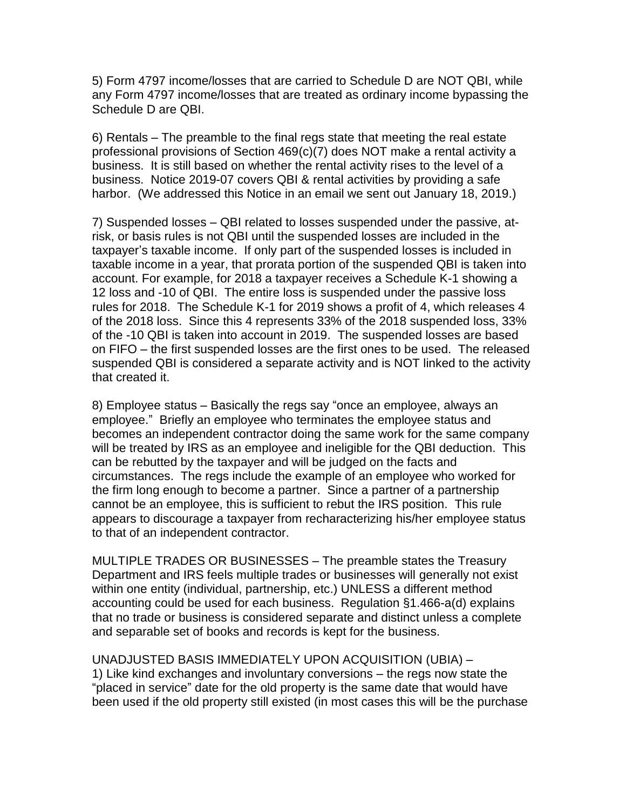5) Form 4797 income/losses that are carried to Schedule D are NOT QBI, while any Form 4797 income/losses that are treated as ordinary income bypassing the Schedule D are QBI.

6) Rentals – The preamble to the final regs state that meeting the real estate professional provisions of Section 469(c)(7) does NOT make a rental activity a business. It is still based on whether the rental activity rises to the level of a business. Notice 2019-07 covers QBI & rental activities by providing a safe harbor. (We addressed this Notice in an email we sent out January 18, 2019.)

7) Suspended losses – QBI related to losses suspended under the passive, atrisk, or basis rules is not QBI until the suspended losses are included in the taxpayer's taxable income. If only part of the suspended losses is included in taxable income in a year, that prorata portion of the suspended QBI is taken into account. For example, for 2018 a taxpayer receives a Schedule K-1 showing a 12 loss and -10 of QBI. The entire loss is suspended under the passive loss rules for 2018. The Schedule K-1 for 2019 shows a profit of 4, which releases 4 of the 2018 loss. Since this 4 represents 33% of the 2018 suspended loss, 33% of the -10 QBI is taken into account in 2019. The suspended losses are based on FIFO – the first suspended losses are the first ones to be used. The released suspended QBI is considered a separate activity and is NOT linked to the activity that created it.

8) Employee status – Basically the regs say "once an employee, always an employee." Briefly an employee who terminates the employee status and becomes an independent contractor doing the same work for the same company will be treated by IRS as an employee and ineligible for the QBI deduction. This can be rebutted by the taxpayer and will be judged on the facts and circumstances. The regs include the example of an employee who worked for the firm long enough to become a partner. Since a partner of a partnership cannot be an employee, this is sufficient to rebut the IRS position. This rule appears to discourage a taxpayer from recharacterizing his/her employee status to that of an independent contractor.

MULTIPLE TRADES OR BUSINESSES – The preamble states the Treasury Department and IRS feels multiple trades or businesses will generally not exist within one entity (individual, partnership, etc.) UNLESS a different method accounting could be used for each business. Regulation §1.466-a(d) explains that no trade or business is considered separate and distinct unless a complete and separable set of books and records is kept for the business.

UNADJUSTED BASIS IMMEDIATELY UPON ACQUISITION (UBIA) – 1) Like kind exchanges and involuntary conversions – the regs now state the "placed in service" date for the old property is the same date that would have been used if the old property still existed (in most cases this will be the purchase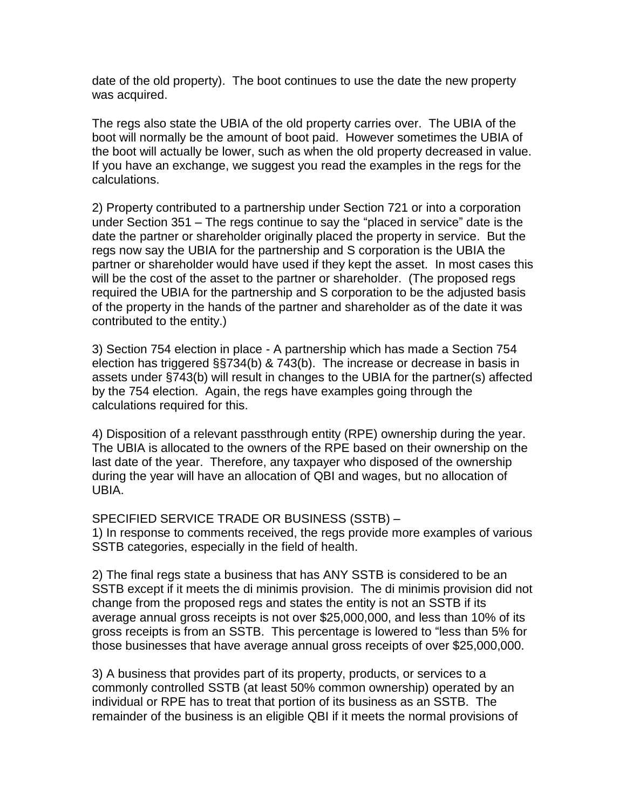date of the old property). The boot continues to use the date the new property was acquired.

The regs also state the UBIA of the old property carries over. The UBIA of the boot will normally be the amount of boot paid. However sometimes the UBIA of the boot will actually be lower, such as when the old property decreased in value. If you have an exchange, we suggest you read the examples in the regs for the calculations.

2) Property contributed to a partnership under Section 721 or into a corporation under Section 351 – The regs continue to say the "placed in service" date is the date the partner or shareholder originally placed the property in service. But the regs now say the UBIA for the partnership and S corporation is the UBIA the partner or shareholder would have used if they kept the asset. In most cases this will be the cost of the asset to the partner or shareholder. (The proposed regs required the UBIA for the partnership and S corporation to be the adjusted basis of the property in the hands of the partner and shareholder as of the date it was contributed to the entity.)

3) Section 754 election in place - A partnership which has made a Section 754 election has triggered §§734(b) & 743(b). The increase or decrease in basis in assets under §743(b) will result in changes to the UBIA for the partner(s) affected by the 754 election. Again, the regs have examples going through the calculations required for this.

4) Disposition of a relevant passthrough entity (RPE) ownership during the year. The UBIA is allocated to the owners of the RPE based on their ownership on the last date of the year. Therefore, any taxpayer who disposed of the ownership during the year will have an allocation of QBI and wages, but no allocation of UBIA.

SPECIFIED SERVICE TRADE OR BUSINESS (SSTB) –

1) In response to comments received, the regs provide more examples of various SSTB categories, especially in the field of health.

2) The final regs state a business that has ANY SSTB is considered to be an SSTB except if it meets the di minimis provision. The di minimis provision did not change from the proposed regs and states the entity is not an SSTB if its average annual gross receipts is not over \$25,000,000, and less than 10% of its gross receipts is from an SSTB. This percentage is lowered to "less than 5% for those businesses that have average annual gross receipts of over \$25,000,000.

3) A business that provides part of its property, products, or services to a commonly controlled SSTB (at least 50% common ownership) operated by an individual or RPE has to treat that portion of its business as an SSTB. The remainder of the business is an eligible QBI if it meets the normal provisions of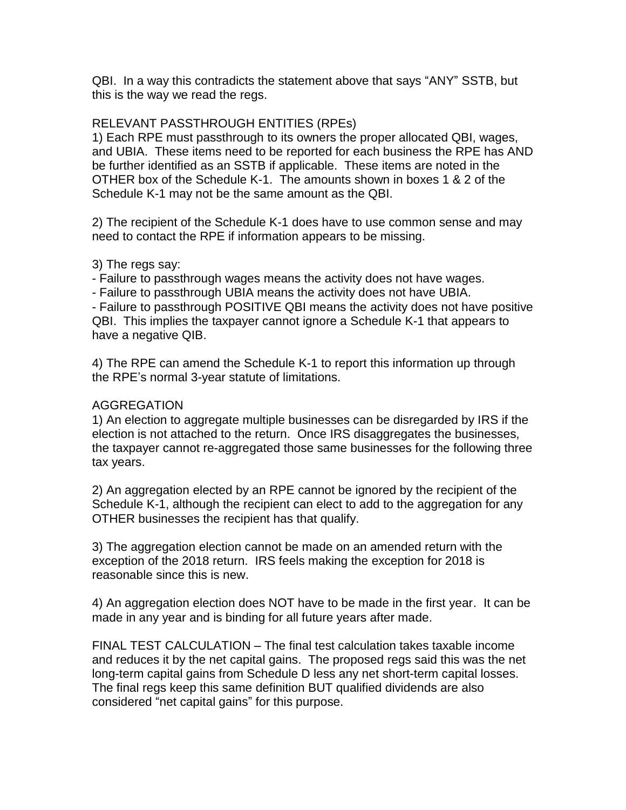QBI. In a way this contradicts the statement above that says "ANY" SSTB, but this is the way we read the regs.

## RELEVANT PASSTHROUGH ENTITIES (RPEs)

1) Each RPE must passthrough to its owners the proper allocated QBI, wages, and UBIA. These items need to be reported for each business the RPE has AND be further identified as an SSTB if applicable. These items are noted in the OTHER box of the Schedule K-1. The amounts shown in boxes 1 & 2 of the Schedule K-1 may not be the same amount as the QBI.

2) The recipient of the Schedule K-1 does have to use common sense and may need to contact the RPE if information appears to be missing.

## 3) The regs say:

- Failure to passthrough wages means the activity does not have wages.

- Failure to passthrough UBIA means the activity does not have UBIA.

- Failure to passthrough POSITIVE QBI means the activity does not have positive QBI. This implies the taxpayer cannot ignore a Schedule K-1 that appears to have a negative QIB.

4) The RPE can amend the Schedule K-1 to report this information up through the RPE's normal 3-year statute of limitations.

## AGGREGATION

1) An election to aggregate multiple businesses can be disregarded by IRS if the election is not attached to the return. Once IRS disaggregates the businesses, the taxpayer cannot re-aggregated those same businesses for the following three tax years.

2) An aggregation elected by an RPE cannot be ignored by the recipient of the Schedule K-1, although the recipient can elect to add to the aggregation for any OTHER businesses the recipient has that qualify.

3) The aggregation election cannot be made on an amended return with the exception of the 2018 return. IRS feels making the exception for 2018 is reasonable since this is new.

4) An aggregation election does NOT have to be made in the first year. It can be made in any year and is binding for all future years after made.

FINAL TEST CALCULATION – The final test calculation takes taxable income and reduces it by the net capital gains. The proposed regs said this was the net long-term capital gains from Schedule D less any net short-term capital losses. The final regs keep this same definition BUT qualified dividends are also considered "net capital gains" for this purpose.